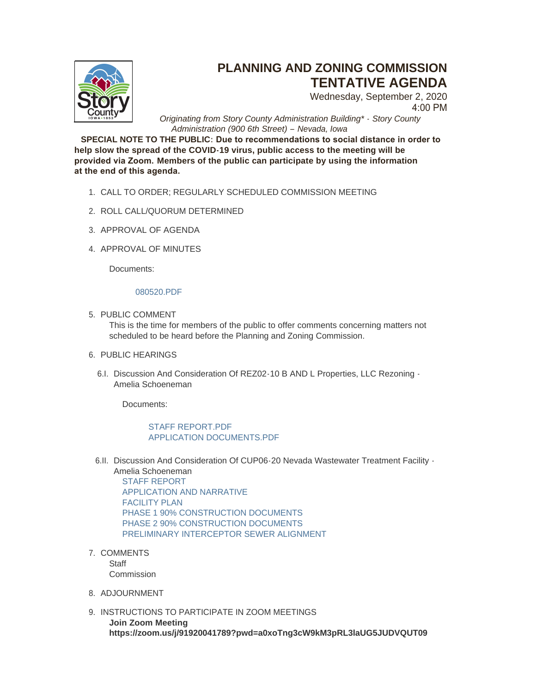

## **PLANNING AND ZONING COMMISSION TENTATIVE AGENDA**

Wednesday, September 2, 2020 4:00 PM

*Originating from Story County Administration Building\* - Story County Administration (900 6th Street) – Nevada, Iowa*

**SPECIAL NOTE TO THE PUBLIC: Due to recommendations to social distance in order to help slow the spread of the COVID-19 virus, public access to the meeting will be provided via Zoom. Members of the public can participate by using the information at the end of this agenda.** 

- CALL TO ORDER; REGULARLY SCHEDULED COMMISSION MEETING 1.
- 2. ROLL CALL/QUORUM DETERMINED
- 3. APPROVAL OF AGENDA
- 4. APPROVAL OF MINUTES

Documents:

## [080520.PDF](http://www.storycountyiowa.gov/AgendaCenter/ViewFile/Item/18885?fileID=14230)

5. PUBLIC COMMENT

This is the time for members of the public to offer comments concerning matters not scheduled to be heard before the Planning and Zoning Commission.

- 6. PUBLIC HEARINGS
	- 6.I. Discussion And Consideration Of REZ02-10 B AND L Properties, LLC Rezoning -Amelia Schoeneman

Documents:

## [STAFF REPORT.PDF](http://www.storycountyiowa.gov/AgendaCenter/ViewFile/Item/18887?fileID=14237) [APPLICATION DOCUMENTS.PDF](http://www.storycountyiowa.gov/AgendaCenter/ViewFile/Item/18887?fileID=14238)

6.II. Discussion And Consideration Of CUP06-20 Nevada Wastewater Treatment Facility -

Amelia Schoeneman [STAFF REPORT](https://www.storycountyiowa.gov/DocumentCenter/View/11381/STAFF-REPORT) [APPLICATION AND NARRATIVE](https://www.storycountyiowa.gov/DocumentCenter/View/11376/APPLICATION-AND-NARRATIVE) [FACILITY PLAN](https://www.storycountyiowa.gov/DocumentCenter/View/11377/FACILITY-PLAN) [PHASE 1 90% CONSTRUCTION DOCUMENTS](https://www.storycountyiowa.gov/DocumentCenter/View/11378/PHASE-1-90-PERCENT-CONSTRUCTION-DOCUMENTS) [PHASE 2 90% CONSTRUCTION DOCUMENTS](https://www.storycountyiowa.gov/DocumentCenter/View/11379/PHASE-2-90-PERCENT-CONSTRUCTION-DOCUMENTS) [PRELIMINARY INTERCEPTOR SEWER ALIGNMENT](https://www.storycountyiowa.gov/DocumentCenter/View/11380/PRELIMINARY-INTERCEPTOR-SEWER-ALIGNMENT)

7. COMMENTS **Staff** 

**Commission** 

- 8. ADJOURNMENT
- 9. INSTRUCTIONS TO PARTICIPATE IN ZOOM MEETINGS **Join Zoom Meeting https://zoom.us/j/91920041789?pwd=a0xoTng3cW9kM3pRL3laUG5JUDVQUT09**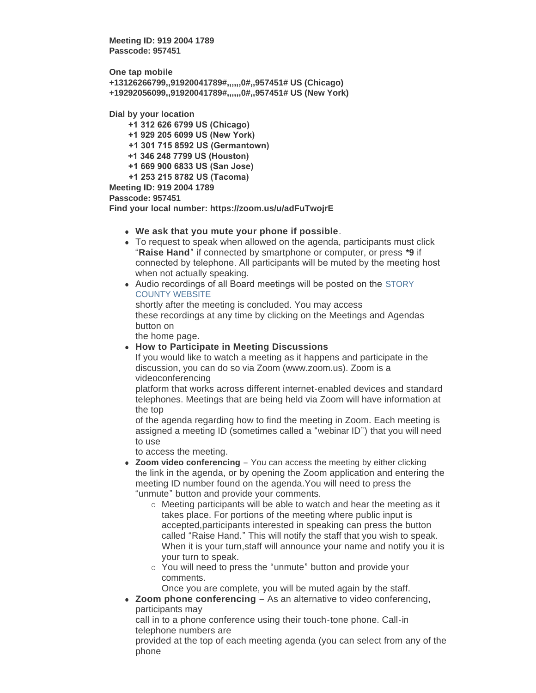**Meeting ID: 919 2004 1789 Passcode: 957451**

**One tap mobile +13126266799,,91920041789#,,,,,,0#,,957451# US (Chicago) +19292056099,,91920041789#,,,,,,0#,,957451# US (New York)**

**Dial by your location**

 **+1 312 626 6799 US (Chicago) +1 929 205 6099 US (New York) +1 301 715 8592 US (Germantown) +1 346 248 7799 US (Houston) +1 669 900 6833 US (San Jose) +1 253 215 8782 US (Tacoma) Meeting ID: 919 2004 1789 Passcode: 957451**

**Find your local number: https://zoom.us/u/adFuTwojrE**

- **.** We ask that you mute your phone if possible.
- To request to speak when allowed on the agenda, participants must click "**Raise Hand**" if connected by smartphone or computer, or press **\*9** if connected by telephone. All participants will be muted by the meeting host when not actually speaking.
- Audio recordings of all Board meetings will be posted on the STORY COUNTY WEBSITE

shortly after the meeting is concluded. You may access these recordings at any time by clicking on the Meetings and Agendas button on

the home page.

**• How to Participate in Meeting Discussions** 

If you would like to watch a meeting as it happens and participate in the discussion, you can do so via Zoom (www.zoom.us). Zoom is a videoconferencing

platform that works across different internet-enabled devices and standard telephones. Meetings that are being held via Zoom will have information at the top

of the agenda regarding how to find the meeting in Zoom. Each meeting is assigned a meeting ID (sometimes called a "webinar ID") that you will need to use

to access the meeting.

- Zoom video conferencing You can access the meeting by either clicking the link in the agenda, or by opening the Zoom application and entering the meeting ID number found on the agenda.You will need to press the "unmute" button and provide your comments.
	- $\circ$  Meeting participants will be able to watch and hear the meeting as it takes place. For portions of the meeting where public input is accepted,participants interested in speaking can press the button called "Raise Hand." This will notify the staff that you wish to speak. When it is your turn,staff will announce your name and notify you it is your turn to speak.
	- o You will need to press the "unmute" button and provide your comments.

Once you are complete, you will be muted again by the staff.

• **Zoom phone conferencing** – As an alternative to video conferencing, participants may

call in to a phone conference using their touch-tone phone. Call-in telephone numbers are

provided at the top of each meeting agenda (you can select from any of the phone